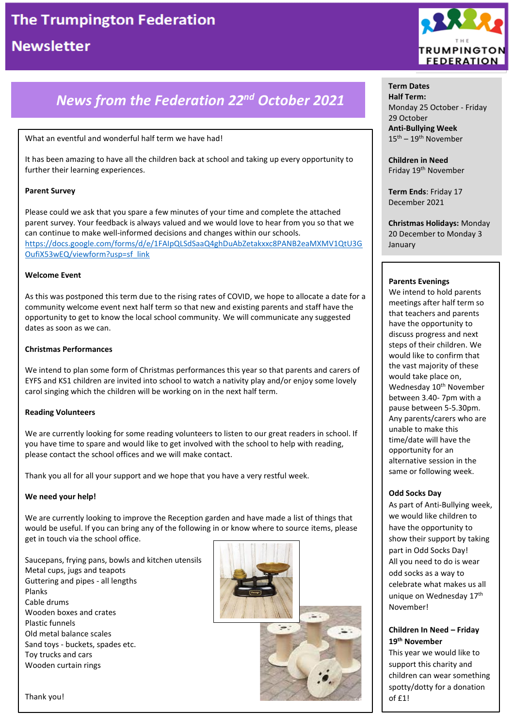## *News from the Federation 22nd October 2021*

### What an eventful and wonderful half term we have had!

It has been amazing to have all the children back at school and taking up every opportunity to further their learning experiences.

### **Parent Survey**

Please could we ask that you spare a few minutes of your time and complete the attached parent survey. Your feedback is always valued and we would love to hear from you so that we can continue to make well-informed decisions and changes within our schools. [https://docs.google.com/forms/d/e/1FAIpQLSdSaaQ4ghDuAbZetakxxc8PANB2eaMXMV1QtU3G](https://docs.google.com/forms/d/e/1FAIpQLSdSaaQ4ghDuAbZetakxxc8PANB2eaMXMV1QtU3GOufiX53wEQ/viewform?usp=sf_link) [OufiX53wEQ/viewform?usp=sf\\_link](https://docs.google.com/forms/d/e/1FAIpQLSdSaaQ4ghDuAbZetakxxc8PANB2eaMXMV1QtU3GOufiX53wEQ/viewform?usp=sf_link)

### **Welcome Event**

As this was postponed this term due to the rising rates of COVID, we hope to allocate a date for a community welcome event next half term so that new and existing parents and staff have the opportunity to get to know the local school community. We will communicate any suggested dates as soon as we can.

### **Christmas Performances**

We intend to plan some form of Christmas performances this year so that parents and carers of EYFS and KS1 children are invited into school to watch a nativity play and/or enjoy some lovely carol singing which the children will be working on in the next half term.

### **Reading Volunteers**

We are currently looking for some reading volunteers to listen to our great readers in school. If you have time to spare and would like to get involved with the school to help with reading, please contact the school offices and we will make contact.

Thank you all for all your support and we hope that you have a very restful week.

### **We need your help!**

We are currently looking to improve the Reception garden and have made a list of things that would be useful. If you can bring any of the following in or know where to source items, please get in touch via the school office.

Saucepans, frying pans, bowls and kitchen utensils Metal cups, jugs and teapots Guttering and pipes - all lengths Planks Cable drums Wooden boxes and crates Plastic funnels Old metal balance scales Sand toys - buckets, spades etc. Toy trucks and cars Wooden curtain rings





**Term Dates Half Term:** Monday 25 October - Friday 29 October **Anti-Bullying Week** 15th – 19th November

**Children in Need** Friday 19<sup>th</sup> November

**Term Ends**: Friday 17 December 2021

**Christmas Holidays:** Monday 20 December to Monday 3 January

### **Parents Evenings**

We intend to hold parents meetings after half term so that teachers and parents have the opportunity to discuss progress and next steps of their children. We would like to confirm that the vast majority of these would take place on, Wednesday 10<sup>th</sup> November between 3.40- 7pm with a pause between 5-5.30pm. Any parents/carers who are unable to make this time/date will have the opportunity for an alternative session in the same or following week.

### **Odd Socks Day**

As part of Anti-Bullying week, we would like children to have the opportunity to show their support by taking part in Odd Socks Day! All you need to do is wear odd socks as a way to celebrate what makes us all unique on Wednesday 17<sup>th</sup> November!

### **Children In Need – Friday 19th November**

This year we would like to support this charity and children can wear something spotty/dotty for a donation of £1!

Thank you!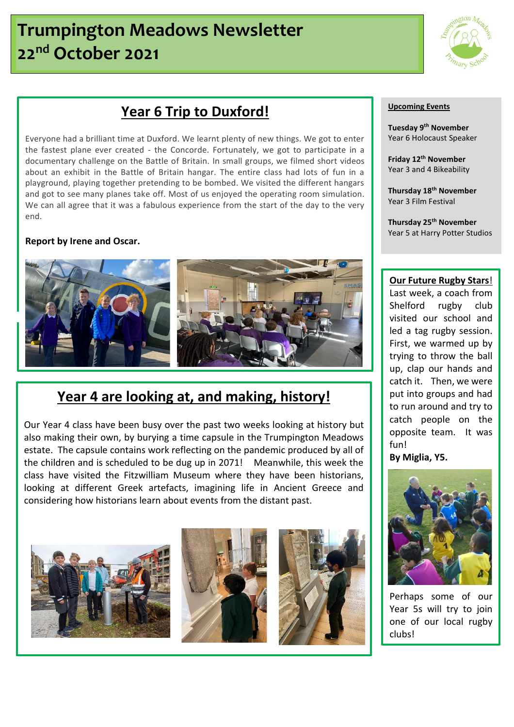# **Trumpington Meadows Newsletter 22nd October 2021**



## **Year 6 Trip to Duxford!**

Everyone had a brilliant time at Duxford. We learnt plenty of new things. We got to enter the fastest plane ever created - the Concorde. Fortunately, we got to participate in a documentary challenge on the Battle of Britain. In small groups, we filmed short videos about an exhibit in the Battle of Britain hangar. The entire class had lots of fun in a playground, playing together pretending to be bombed. We visited the different hangars and got to see many planes take off. Most of us enjoyed the operating room simulation. We can all agree that it was a fabulous experience from the start of the day to the very end.

### **Report by Irene and Oscar.**



## **Year 4 are looking at, and making, history!**

Our Year 4 class have been busy over the past two weeks looking at history but also making their own, by burying a time capsule in the Trumpington Meadows estate. The capsule contains work reflecting on the pandemic produced by all of the children and is scheduled to be dug up in 2071! Meanwhile, this week the class have visited the Fitzwilliam Museum where they have been historians, looking at different Greek artefacts, imagining life in Ancient Greece and considering how historians learn about events from the distant past.



### **Upcoming Events**

**Tuesday 9th November**  Year 6 Holocaust Speaker

**Friday 12th November** Year 3 and 4 Bikeability

**Thursday 18th November** Year 3 Film Festival

**Thursday 25th November** Year 5 at Harry Potter Studios

### **Our Future Rugby Stars**!

Last week, a coach from Shelford rugby club visited our school and led a tag rugby session. First, we warmed up by trying to throw the ball up, clap our hands and catch it. Then, we were put into groups and had to run around and try to catch people on the opposite team. It was fun!

**By Miglia, Y5.**



Perhaps some of our Year 5s will try to join one of our local rugby clubs!